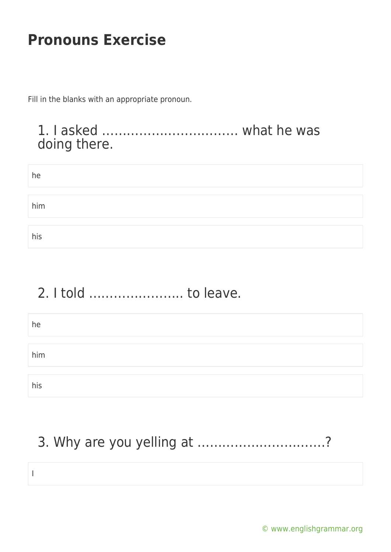Fill in the blanks with an appropriate pronoun.

#### 1. I asked …………………………… what he was doing there.

| he  |  |  |
|-----|--|--|
|     |  |  |
| him |  |  |
|     |  |  |
| his |  |  |

# 2. I told ………………….. to leave.

| he  |  |  |
|-----|--|--|
|     |  |  |
| him |  |  |
|     |  |  |
| his |  |  |

# 3. Why are you yelling at ………………………….?

I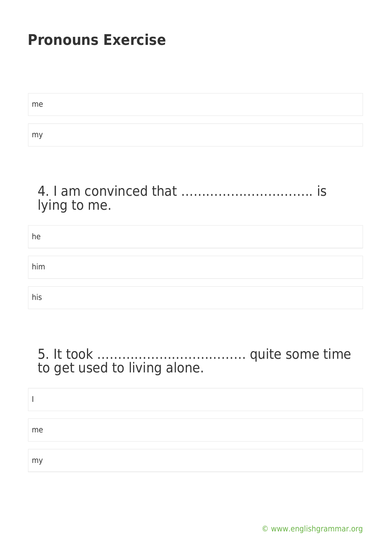| me |  |
|----|--|
|    |  |
| my |  |

### 4. I am convinced that ………………………….. is lying to me.

| he  |  |  |
|-----|--|--|
|     |  |  |
| him |  |  |
|     |  |  |
| his |  |  |

#### 5. It took ……………………………… quite some time to get used to living alone.

| me |  |  |
|----|--|--|
| my |  |  |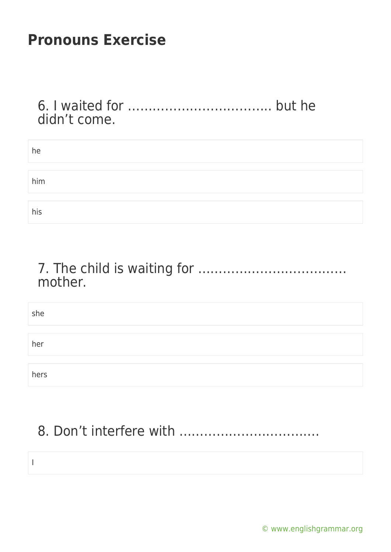I

#### 6. I waited for …………………………….. but he didn't come.

| he  |  |  |
|-----|--|--|
|     |  |  |
| him |  |  |
|     |  |  |
| his |  |  |

### 7. The child is waiting for ……………………………… mother.

| she  |  |  |  |
|------|--|--|--|
|      |  |  |  |
| her  |  |  |  |
|      |  |  |  |
| hers |  |  |  |

# 8. Don't interfere with …………………………….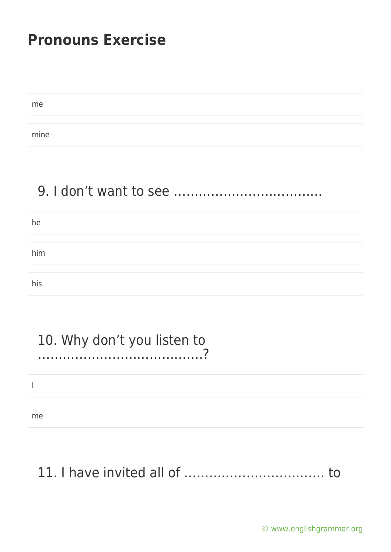| me   |  |  |
|------|--|--|
|      |  |  |
| mine |  |  |

### 9. I don't want to see ………………………………

| he  |  |  |  |
|-----|--|--|--|
|     |  |  |  |
| him |  |  |  |
|     |  |  |  |
| his |  |  |  |

# 10. Why don't you listen to

………………………………….?

I

me

# 11. I have invited all of ……………………………. to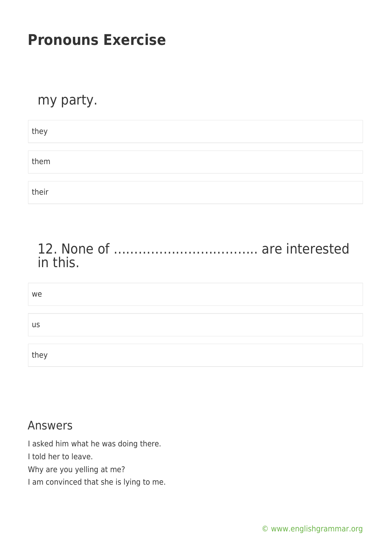#### my party.

| they  |  |  |  |
|-------|--|--|--|
|       |  |  |  |
| them  |  |  |  |
|       |  |  |  |
| their |  |  |  |

### 12. None of …………………………….. are interested in this.

| we        |  |  |  |
|-----------|--|--|--|
|           |  |  |  |
| <b>US</b> |  |  |  |
|           |  |  |  |
| they      |  |  |  |

#### Answers

I asked him what he was doing there.

I told her to leave.

Why are you yelling at me?

I am convinced that she is lying to me.